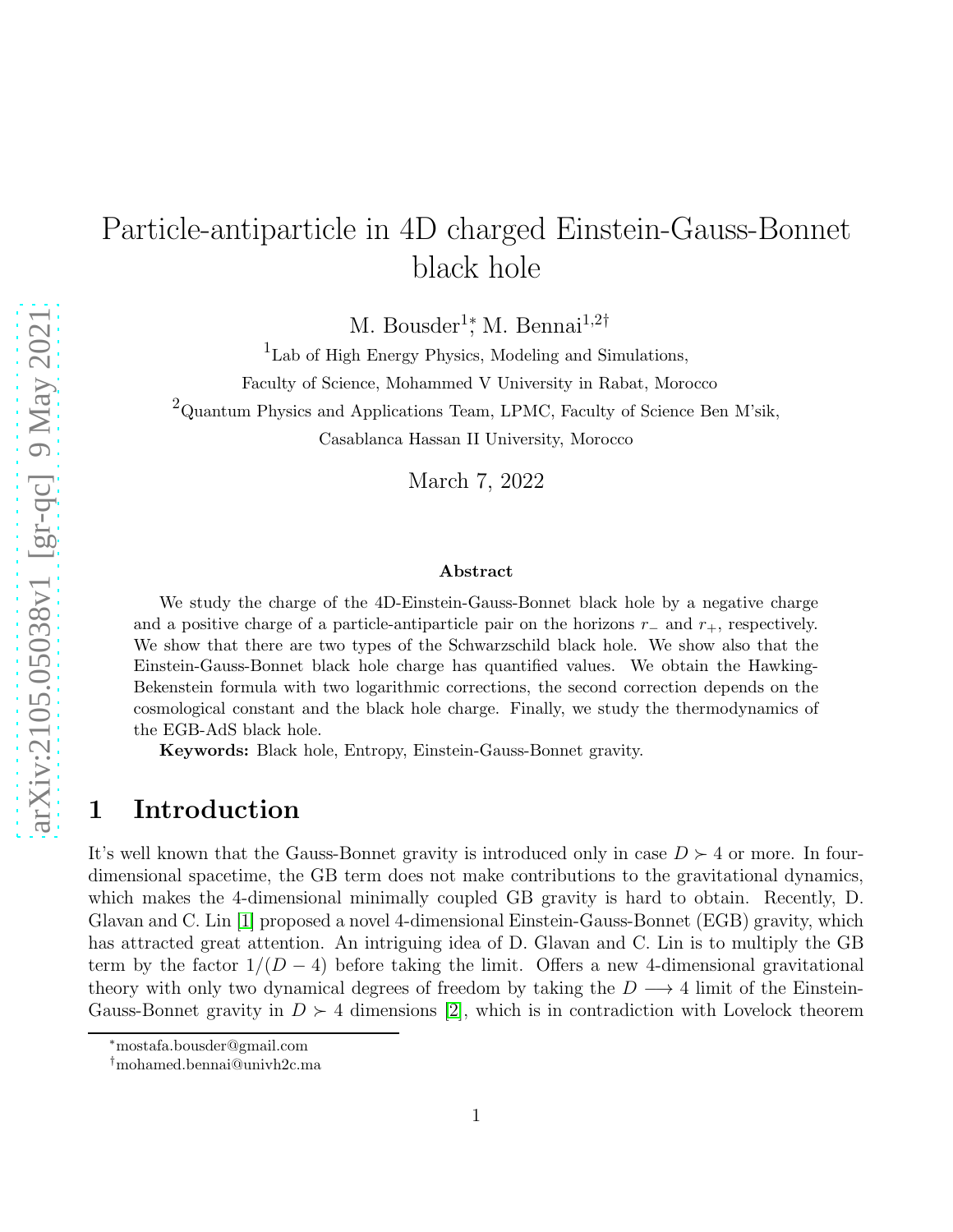## Particle-antiparticle in 4D charged Einstein-Gauss-Bonnet black hole

M. Bousder<sup>1</sup><sup>\*</sup>, M. Bennai<sup>1,2†</sup>

1 Lab of High Energy Physics, Modeling and Simulations,

Faculty of Science, Mohammed V University in Rabat, Morocco

 $2$ Quantum Physics and Applications Team, LPMC, Faculty of Science Ben M'sik,

Casablanca Hassan II University, Morocco

March 7, 2022

#### Abstract

We study the charge of the 4D-Einstein-Gauss-Bonnet black hole by a negative charge and a positive charge of a particle-antiparticle pair on the horizons  $r_-\,$  and  $r_+$ , respectively. We show that there are two types of the Schwarzschild black hole. We show also that the Einstein-Gauss-Bonnet black hole charge has quantified values. We obtain the Hawking-Bekenstein formula with two logarithmic corrections, the second correction depends on the cosmological constant and the black hole charge. Finally, we study the thermodynamics of the EGB-AdS black hole.

Keywords: Black hole, Entropy, Einstein-Gauss-Bonnet gravity.

## 1 Introduction

It's well known that the Gauss-Bonnet gravity is introduced only in case  $D \succ 4$  or more. In fourdimensional spacetime, the GB term does not make contributions to the gravitational dynamics, which makes the 4-dimensional minimally coupled GB gravity is hard to obtain. Recently, D. Glavan and C. Lin [\[1\]](#page-10-0) proposed a novel 4-dimensional Einstein-Gauss-Bonnet (EGB) gravity, which has attracted great attention. An intriguing idea of D. Glavan and C. Lin is to multiply the GB term by the factor  $1/(D-4)$  before taking the limit. Offers a new 4-dimensional gravitational theory with only two dynamical degrees of freedom by taking the  $D \longrightarrow 4$  limit of the Einstein-Gauss-Bonnet gravity in  $D \succ 4$  dimensions [\[2\]](#page-10-1), which is in contradiction with Lovelock theorem

<sup>∗</sup>mostafa.bousder@gmail.com

<sup>†</sup>mohamed.bennai@univh2c.ma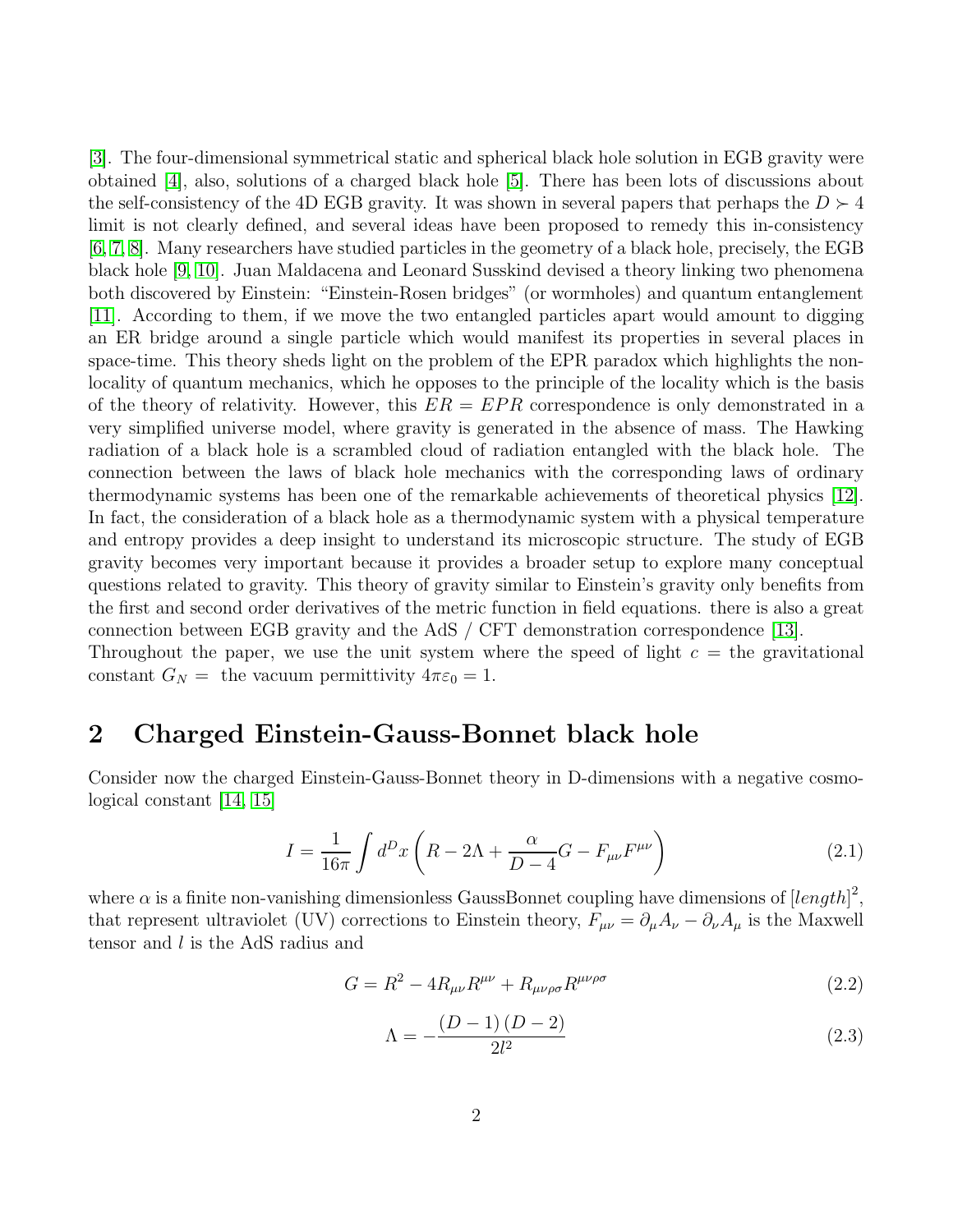[\[3\]](#page-11-0). The four-dimensional symmetrical static and spherical black hole solution in EGB gravity were obtained [\[4\]](#page-11-1), also, solutions of a charged black hole [\[5\]](#page-11-2). There has been lots of discussions about the self-consistency of the 4D EGB gravity. It was shown in several papers that perhaps the  $D \succ 4$ limit is not clearly defined, and several ideas have been proposed to remedy this in-consistency [\[6,](#page-11-3) [7,](#page-11-4) [8\]](#page-11-5). Many researchers have studied particles in the geometry of a black hole, precisely, the EGB black hole [\[9,](#page-11-6) [10\]](#page-11-7). Juan Maldacena and Leonard Susskind devised a theory linking two phenomena both discovered by Einstein: "Einstein-Rosen bridges" (or wormholes) and quantum entanglement [\[11\]](#page-11-8). According to them, if we move the two entangled particles apart would amount to digging an ER bridge around a single particle which would manifest its properties in several places in space-time. This theory sheds light on the problem of the EPR paradox which highlights the nonlocality of quantum mechanics, which he opposes to the principle of the locality which is the basis of the theory of relativity. However, this  $ER = EPR$  correspondence is only demonstrated in a very simplified universe model, where gravity is generated in the absence of mass. The Hawking radiation of a black hole is a scrambled cloud of radiation entangled with the black hole. The connection between the laws of black hole mechanics with the corresponding laws of ordinary thermodynamic systems has been one of the remarkable achievements of theoretical physics [\[12\]](#page-11-9). In fact, the consideration of a black hole as a thermodynamic system with a physical temperature and entropy provides a deep insight to understand its microscopic structure. The study of EGB gravity becomes very important because it provides a broader setup to explore many conceptual questions related to gravity. This theory of gravity similar to Einstein's gravity only benefits from the first and second order derivatives of the metric function in field equations. there is also a great connection between EGB gravity and the AdS / CFT demonstration correspondence [\[13\]](#page-11-10). Throughout the paper, we use the unit system where the speed of light  $c =$  the gravitational

# constant  $G_N =$  the vacuum permittivity  $4\pi\varepsilon_0 = 1$ .

## 2 Charged Einstein-Gauss-Bonnet black hole

Consider now the charged Einstein-Gauss-Bonnet theory in D-dimensions with a negative cosmological constant [\[14,](#page-11-11) [15\]](#page-11-12)

$$
I = \frac{1}{16\pi} \int d^D x \left( R - 2\Lambda + \frac{\alpha}{D - 4} G - F_{\mu\nu} F^{\mu\nu} \right) \tag{2.1}
$$

where  $\alpha$  is a finite non-vanishing dimensionless GaussBonnet coupling have dimensions of  $[length]^2$ , that represent ultraviolet (UV) corrections to Einstein theory,  $F_{\mu\nu} = \partial_{\mu}A_{\nu} - \partial_{\nu}A_{\mu}$  is the Maxwell tensor and l is the AdS radius and

$$
G = R^2 - 4R_{\mu\nu}R^{\mu\nu} + R_{\mu\nu\rho\sigma}R^{\mu\nu\rho\sigma}
$$
\n
$$
\tag{2.2}
$$

<span id="page-1-0"></span>
$$
\Lambda = -\frac{(D-1)(D-2)}{2l^2} \tag{2.3}
$$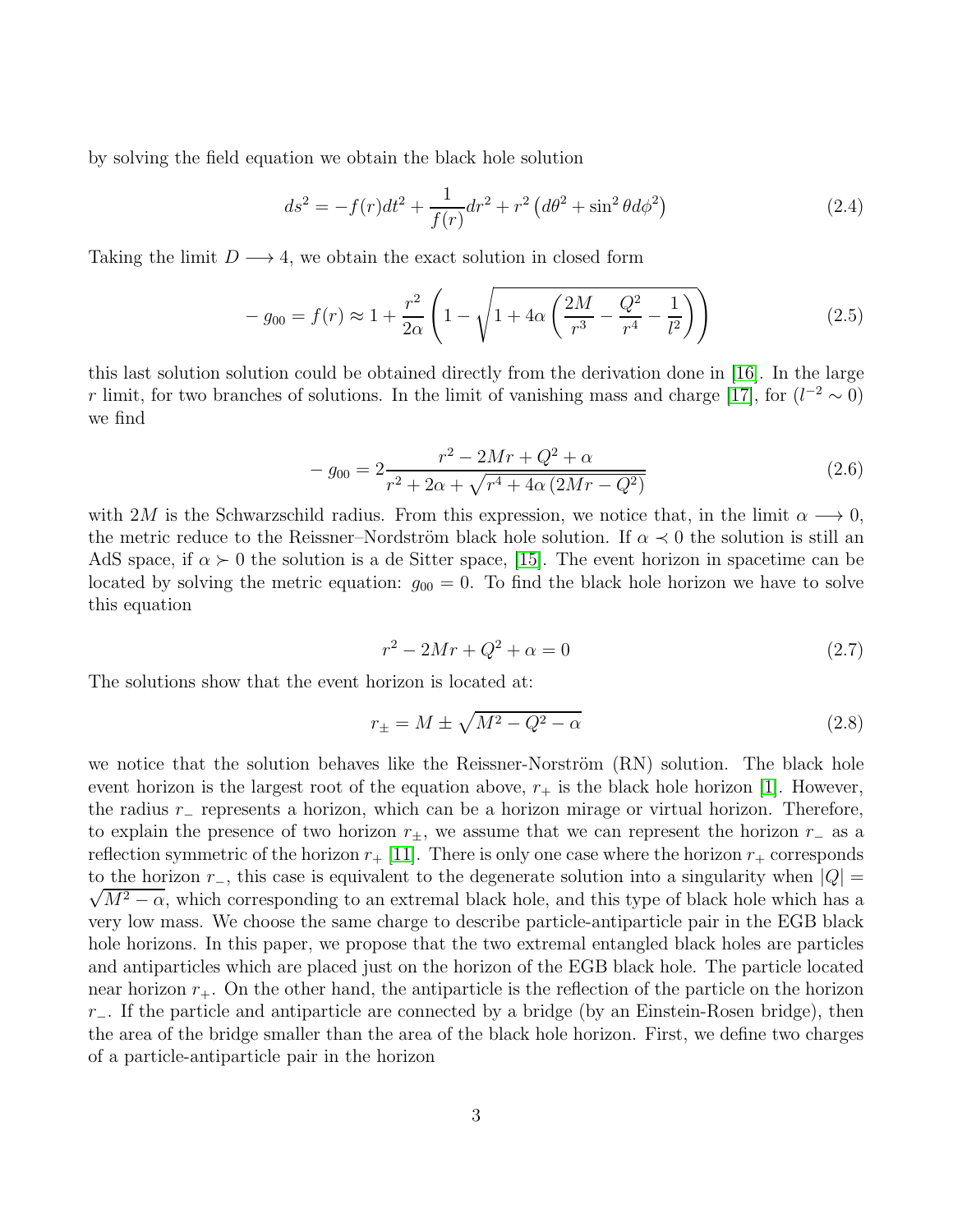by solving the field equation we obtain the black hole solution

$$
ds^{2} = -f(r)dt^{2} + \frac{1}{f(r)}dr^{2} + r^{2} \left(d\theta^{2} + \sin^{2}\theta d\phi^{2}\right)
$$
 (2.4)

Taking the limit  $D \longrightarrow 4$ , we obtain the exact solution in closed form

$$
-g_{00} = f(r) \approx 1 + \frac{r^2}{2\alpha} \left( 1 - \sqrt{1 + 4\alpha \left( \frac{2M}{r^3} - \frac{Q^2}{r^4} - \frac{1}{l^2} \right)} \right)
$$
(2.5)

this last solution solution could be obtained directly from the derivation done in [\[16\]](#page-11-13). In the large r limit, for two branches of solutions. In the limit of vanishing mass and charge [\[17\]](#page-11-14), for  $(l^{-2} \sim 0)$ we find

$$
- g_{00} = 2 \frac{r^2 - 2Mr + Q^2 + \alpha}{r^2 + 2\alpha + \sqrt{r^4 + 4\alpha \left(2Mr - Q^2\right)}}\tag{2.6}
$$

with 2M is the Schwarzschild radius. From this expression, we notice that, in the limit  $\alpha \longrightarrow 0$ , the metric reduce to the Reissner–Nordström black hole solution. If  $\alpha \prec 0$  the solution is still an AdS space, if  $\alpha \succ 0$  the solution is a de Sitter space, [\[15\]](#page-11-12). The event horizon in spacetime can be located by solving the metric equation:  $g_{00} = 0$ . To find the black hole horizon we have to solve this equation

<span id="page-2-1"></span>
$$
r^2 - 2Mr + Q^2 + \alpha = 0\tag{2.7}
$$

The solutions show that the event horizon is located at:

<span id="page-2-0"></span>
$$
r_{\pm} = M \pm \sqrt{M^2 - Q^2 - \alpha} \tag{2.8}
$$

we notice that the solution behaves like the Reissner-Norström  $(RN)$  solution. The black hole event horizon is the largest root of the equation above,  $r_{+}$  is the black hole horizon [\[1\]](#page-10-0). However, the radius r<sup>−</sup> represents a horizon, which can be a horizon mirage or virtual horizon. Therefore, to explain the presence of two horizon  $r_{\pm}$ , we assume that we can represent the horizon  $r_{-}$  as a reflection symmetric of the horizon  $r_{+}$  [\[11\]](#page-11-8). There is only one case where the horizon  $r_{+}$  corresponds to the horizon  $r_$ , this case is equivalent to the degenerate solution into a singularity when  $|Q| =$  $\sqrt{M^2 - \alpha}$ , which corresponding to an extremal black hole, and this type of black hole which has a very low mass. We choose the same charge to describe particle-antiparticle pair in the EGB black hole horizons. In this paper, we propose that the two extremal entangled black holes are particles and antiparticles which are placed just on the horizon of the EGB black hole. The particle located near horizon  $r_{+}$ . On the other hand, the antiparticle is the reflection of the particle on the horizon  $r_$ −. If the particle and antiparticle are connected by a bridge (by an Einstein-Rosen bridge), then the area of the bridge smaller than the area of the black hole horizon. First, we define two charges of a particle-antiparticle pair in the horizon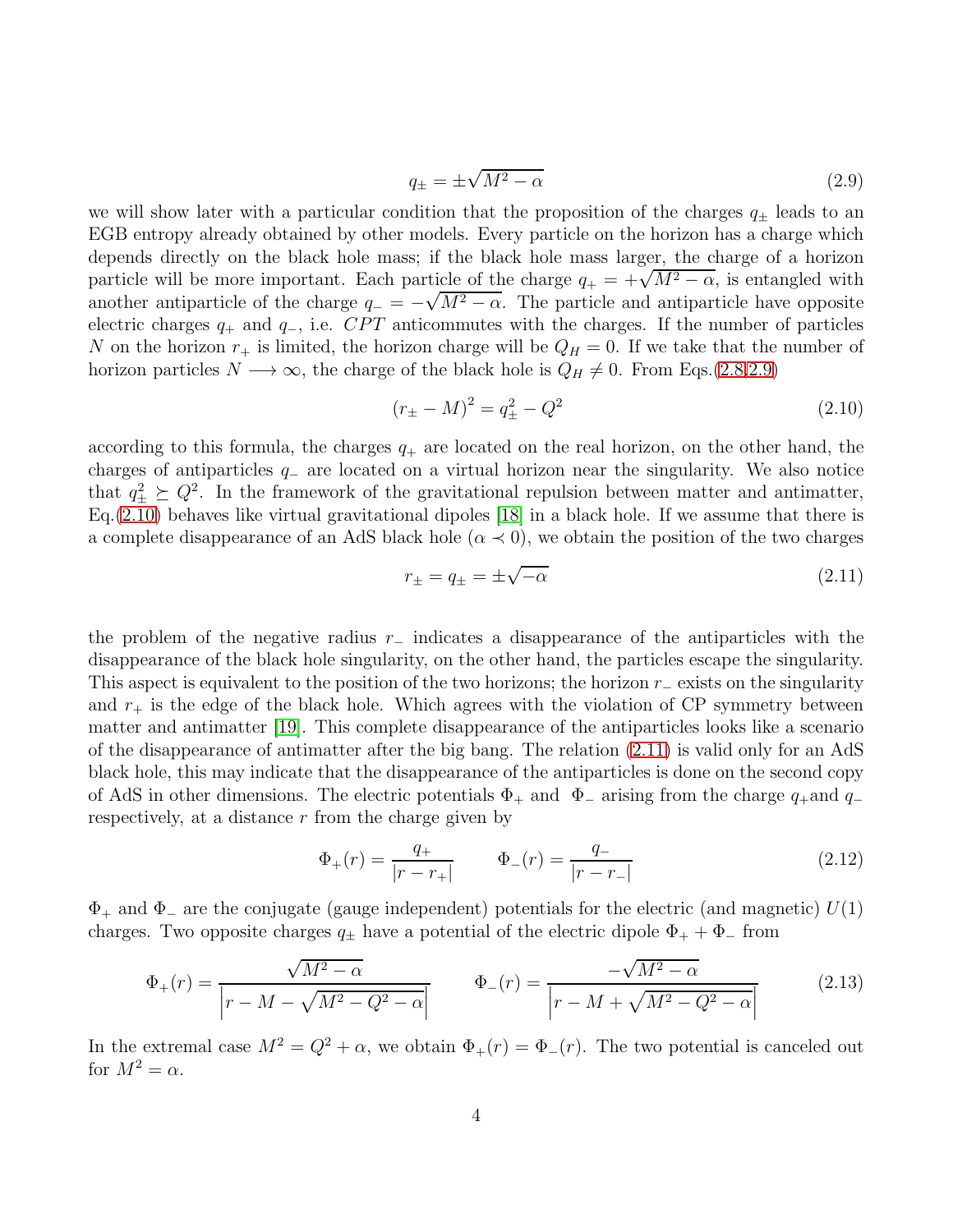<span id="page-3-0"></span>
$$
q_{\pm} = \pm \sqrt{M^2 - \alpha} \tag{2.9}
$$

we will show later with a particular condition that the proposition of the charges  $q_{\pm}$  leads to an EGB entropy already obtained by other models. Every particle on the horizon has a charge which depends directly on the black hole mass; if the black hole mass larger, the charge of a horizon particle will be more important. Each particle of the charge  $q_+ = +\sqrt{M^2 - \alpha}$ , is entangled with another antiparticle of the charge  $q_-= -\sqrt{M^2-\alpha}$ . The particle and antiparticle have opposite electric charges  $q_+$  and  $q_-,$  i.e. CPT anticommutes with the charges. If the number of particles N on the horizon  $r_+$  is limited, the horizon charge will be  $Q_H = 0$ . If we take that the number of horizon particles  $N \longrightarrow \infty$ , the charge of the black hole is  $Q_H \neq 0$ . From Eqs.[\(2.8](#page-2-0)[,2.9\)](#page-3-0)

<span id="page-3-1"></span>
$$
(r_{\pm} - M)^2 = q_{\pm}^2 - Q^2 \tag{2.10}
$$

according to this formula, the charges  $q_+$  are located on the real horizon, on the other hand, the charges of antiparticles  $q_-\$  are located on a virtual horizon near the singularity. We also notice that  $q_{\pm}^2 \succeq Q^2$ . In the framework of the gravitational repulsion between matter and antimatter,  $Eq.(2.10)$  $Eq.(2.10)$  behaves like virtual gravitational dipoles [\[18\]](#page-12-0) in a black hole. If we assume that there is a complete disappearance of an AdS black hole ( $\alpha \prec 0$ ), we obtain the position of the two charges

<span id="page-3-2"></span>
$$
r_{\pm} = q_{\pm} = \pm \sqrt{-\alpha} \tag{2.11}
$$

the problem of the negative radius r<sup>−</sup> indicates a disappearance of the antiparticles with the disappearance of the black hole singularity, on the other hand, the particles escape the singularity. This aspect is equivalent to the position of the two horizons; the horizon  $r_$  exists on the singularity and  $r_{+}$  is the edge of the black hole. Which agrees with the violation of CP symmetry between matter and antimatter [\[19\]](#page-12-1). This complete disappearance of the antiparticles looks like a scenario of the disappearance of antimatter after the big bang. The relation [\(2.11\)](#page-3-2) is valid only for an AdS black hole, this may indicate that the disappearance of the antiparticles is done on the second copy of AdS in other dimensions. The electric potentials  $\Phi_+$  and  $\Phi_-$  arising from the charge  $q_+$ and  $q_$ respectively, at a distance r from the charge given by

$$
\Phi_{+}(r) = \frac{q_{+}}{|r - r_{+}|} \qquad \Phi_{-}(r) = \frac{q_{-}}{|r - r_{-}|} \tag{2.12}
$$

 $\Phi_+$  and  $\Phi_-$  are the conjugate (gauge independent) potentials for the electric (and magnetic)  $U(1)$ charges. Two opposite charges  $q_{\pm}$  have a potential of the electric dipole  $\Phi_{+} + \Phi_{-}$  from

<span id="page-3-3"></span>
$$
\Phi_{+}(r) = \frac{\sqrt{M^2 - \alpha}}{\left|r - M - \sqrt{M^2 - Q^2 - \alpha}\right|} \qquad \Phi_{-}(r) = \frac{-\sqrt{M^2 - \alpha}}{\left|r - M + \sqrt{M^2 - Q^2 - \alpha}\right|} \tag{2.13}
$$

In the extremal case  $M^2 = Q^2 + \alpha$ , we obtain  $\Phi_+(r) = \Phi_-(r)$ . The two potential is canceled out for  $M^2 = \alpha$ .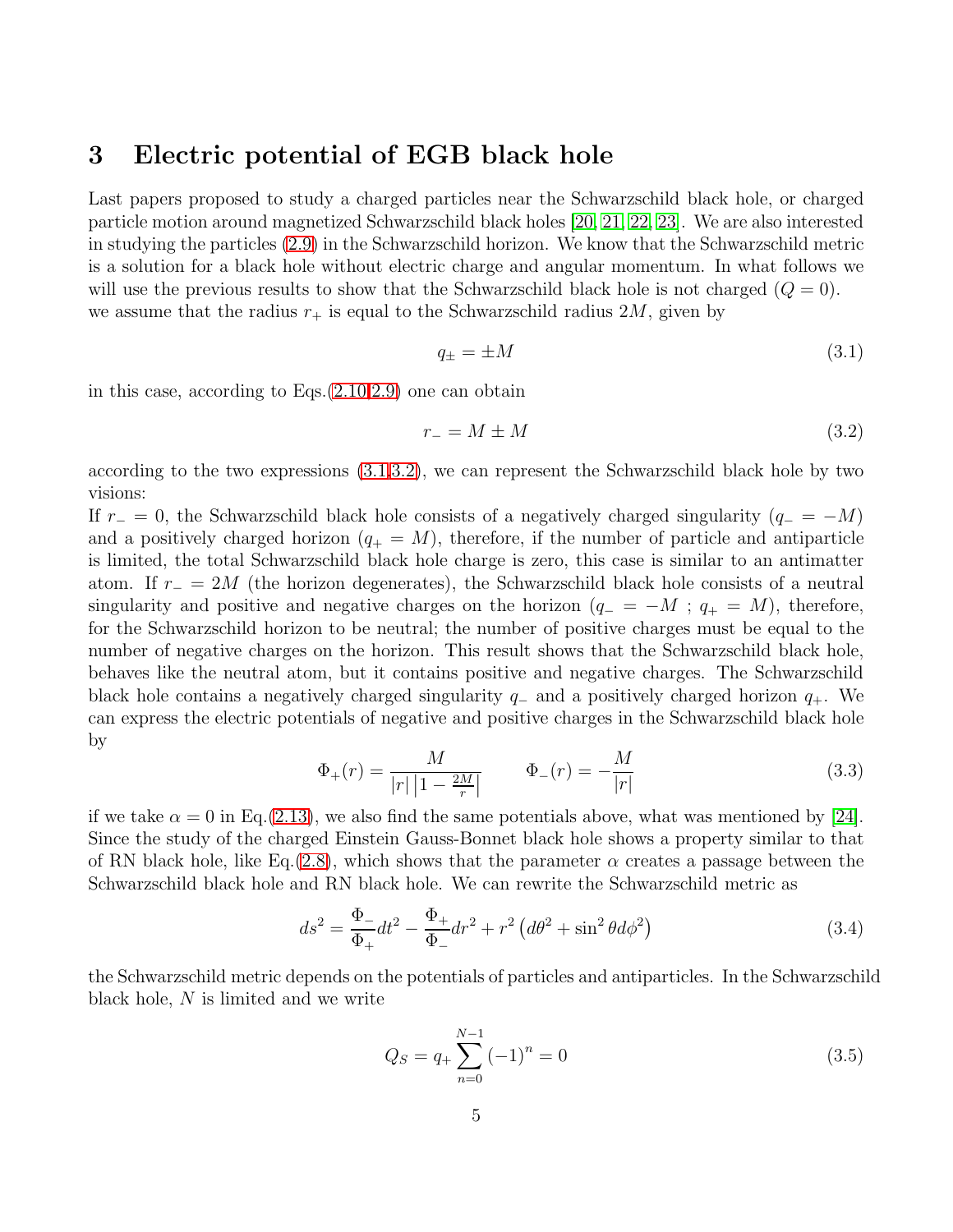#### 3 Electric potential of EGB black hole

Last papers proposed to study a charged particles near the Schwarzschild black hole, or charged particle motion around magnetized Schwarzschild black holes [\[20,](#page-12-2) [21,](#page-12-3) [22,](#page-12-4) [23\]](#page-12-5). We are also interested in studying the particles [\(2.9\)](#page-3-0) in the Schwarzschild horizon. We know that the Schwarzschild metric is a solution for a black hole without electric charge and angular momentum. In what follows we will use the previous results to show that the Schwarzschild black hole is not charged  $(Q = 0)$ . we assume that the radius  $r_+$  is equal to the Schwarzschild radius 2M, given by

<span id="page-4-0"></span>
$$
q_{\pm} = \pm M \tag{3.1}
$$

in this case, according to Eqs.[\(2.10,](#page-3-1)[2.9\)](#page-3-0) one can obtain

<span id="page-4-1"></span>
$$
r_{-} = M \pm M \tag{3.2}
$$

according to the two expressions [\(3.1](#page-4-0)[,3.2\)](#page-4-1), we can represent the Schwarzschild black hole by two visions:

If  $r_ - = 0$ , the Schwarzschild black hole consists of a negatively charged singularity ( $q_- = -M$ ) and a positively charged horizon  $(q_+ = M)$ , therefore, if the number of particle and antiparticle is limited, the total Schwarzschild black hole charge is zero, this case is similar to an antimatter atom. If  $r_ = 2M$  (the horizon degenerates), the Schwarzschild black hole consists of a neutral singularity and positive and negative charges on the horizon  $(q_- = -M; q_+ = M)$ , therefore, for the Schwarzschild horizon to be neutral; the number of positive charges must be equal to the number of negative charges on the horizon. This result shows that the Schwarzschild black hole, behaves like the neutral atom, but it contains positive and negative charges. The Schwarzschild black hole contains a negatively charged singularity  $q_-\$  and a positively charged horizon  $q_+\$ . We can express the electric potentials of negative and positive charges in the Schwarzschild black hole by

$$
\Phi_{+}(r) = \frac{M}{|r| \left| 1 - \frac{2M}{r} \right|} \qquad \Phi_{-}(r) = -\frac{M}{|r|} \tag{3.3}
$$

if we take  $\alpha = 0$  in Eq.[\(2.13\)](#page-3-3), we also find the same potentials above, what was mentioned by [\[24\]](#page-12-6). Since the study of the charged Einstein Gauss-Bonnet black hole shows a property similar to that of RN black hole, like Eq.[\(2.8\)](#page-2-0), which shows that the parameter  $\alpha$  creates a passage between the Schwarzschild black hole and RN black hole. We can rewrite the Schwarzschild metric as

$$
ds^{2} = \frac{\Phi_{-}}{\Phi_{+}}dt^{2} - \frac{\Phi_{+}}{\Phi_{-}}dr^{2} + r^{2} \left(d\theta^{2} + \sin^{2}\theta d\phi^{2}\right)
$$
 (3.4)

the Schwarzschild metric depends on the potentials of particles and antiparticles. In the Schwarzschild black hole, N is limited and we write

$$
Q_S = q_+ \sum_{n=0}^{N-1} (-1)^n = 0
$$
\n(3.5)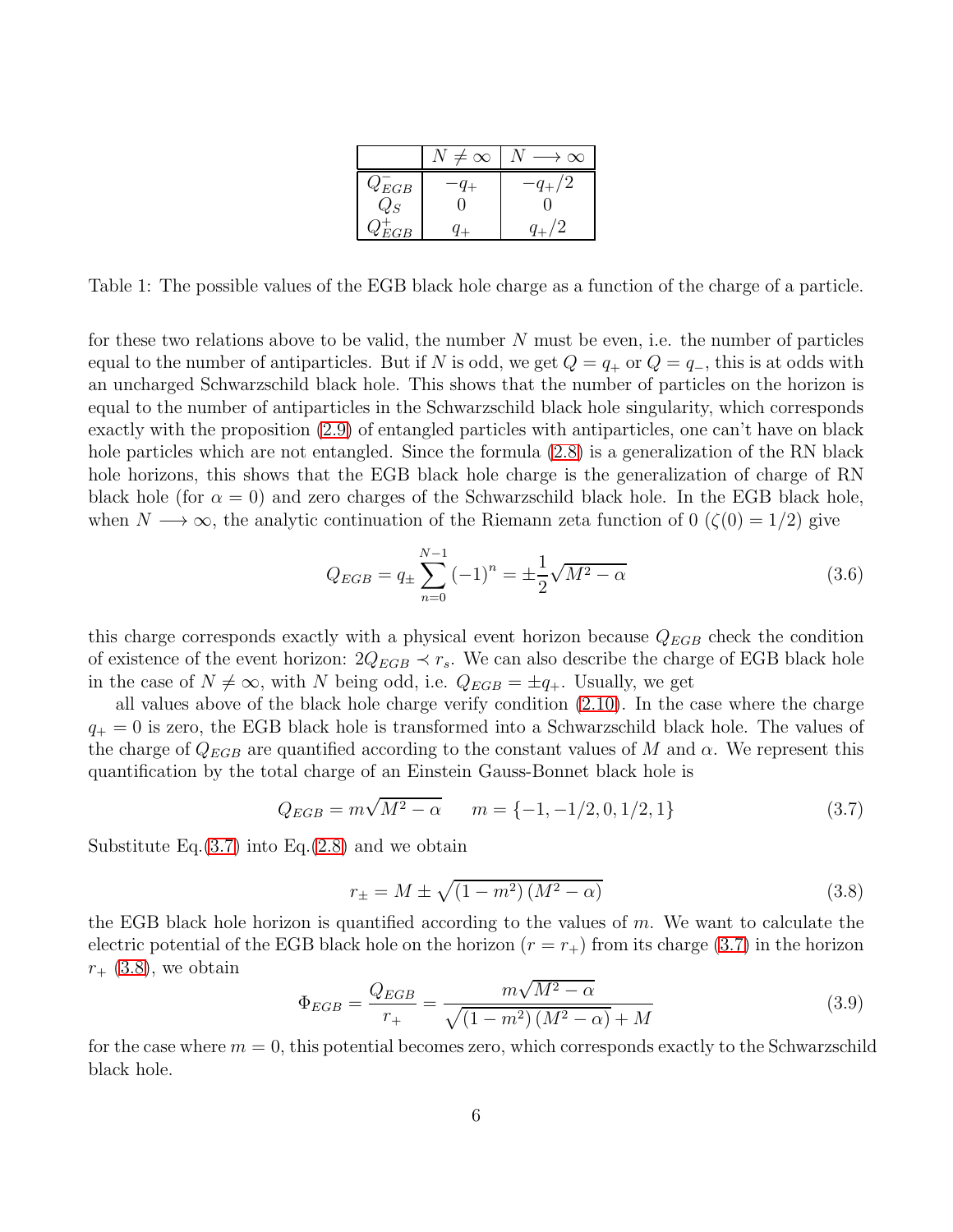|           | $\infty$ |  |
|-----------|----------|--|
| $Q_{EGB}$ |          |  |
| Q         |          |  |
| EGB       |          |  |

Table 1: The possible values of the EGB black hole charge as a function of the charge of a particle.

for these two relations above to be valid, the number  $N$  must be even, i.e. the number of particles equal to the number of antiparticles. But if N is odd, we get  $Q = q_+$  or  $Q = q_-$ , this is at odds with an uncharged Schwarzschild black hole. This shows that the number of particles on the horizon is equal to the number of antiparticles in the Schwarzschild black hole singularity, which corresponds exactly with the proposition [\(2.9\)](#page-3-0) of entangled particles with antiparticles, one can't have on black hole particles which are not entangled. Since the formula  $(2.8)$  is a generalization of the RN black hole horizons, this shows that the EGB black hole charge is the generalization of charge of RN black hole (for  $\alpha = 0$ ) and zero charges of the Schwarzschild black hole. In the EGB black hole, when  $N \longrightarrow \infty$ , the analytic continuation of the Riemann zeta function of 0 ( $\zeta(0) = 1/2$ ) give

$$
Q_{EGB} = q_{\pm} \sum_{n=0}^{N-1} (-1)^n = \pm \frac{1}{2} \sqrt{M^2 - \alpha}
$$
 (3.6)

this charge corresponds exactly with a physical event horizon because  $Q_{EGB}$  check the condition of existence of the event horizon:  $2Q_{EGB} \prec r_s$ . We can also describe the charge of EGB black hole in the case of  $N \neq \infty$ , with N being odd, i.e.  $Q_{EGB} = \pm q_+$ . Usually, we get

all values above of the black hole charge verify condition [\(2.10\)](#page-3-1). In the case where the charge  $q_{+} = 0$  is zero, the EGB black hole is transformed into a Schwarzschild black hole. The values of the charge of  $Q_{EGB}$  are quantified according to the constant values of M and  $\alpha$ . We represent this quantification by the total charge of an Einstein Gauss-Bonnet black hole is

<span id="page-5-0"></span>
$$
Q_{EGB} = m\sqrt{M^2 - \alpha} \qquad m = \{-1, -1/2, 0, 1/2, 1\}
$$
\n(3.7)

Substitute Eq. $(3.7)$  into Eq. $(2.8)$  and we obtain

<span id="page-5-1"></span>
$$
r_{\pm} = M \pm \sqrt{(1 - m^2)(M^2 - \alpha)}
$$
\n(3.8)

the EGB black hole horizon is quantified according to the values of  $m$ . We want to calculate the electric potential of the EGB black hole on the horizon  $(r = r_+)$  from its charge [\(3.7\)](#page-5-0) in the horizon  $r_{+}$  [\(3.8\)](#page-5-1), we obtain

<span id="page-5-2"></span>
$$
\Phi_{EGB} = \frac{Q_{EGB}}{r_+} = \frac{m\sqrt{M^2 - \alpha}}{\sqrt{(1 - m^2)(M^2 - \alpha)} + M}
$$
\n(3.9)

for the case where  $m = 0$ , this potential becomes zero, which corresponds exactly to the Schwarzschild black hole.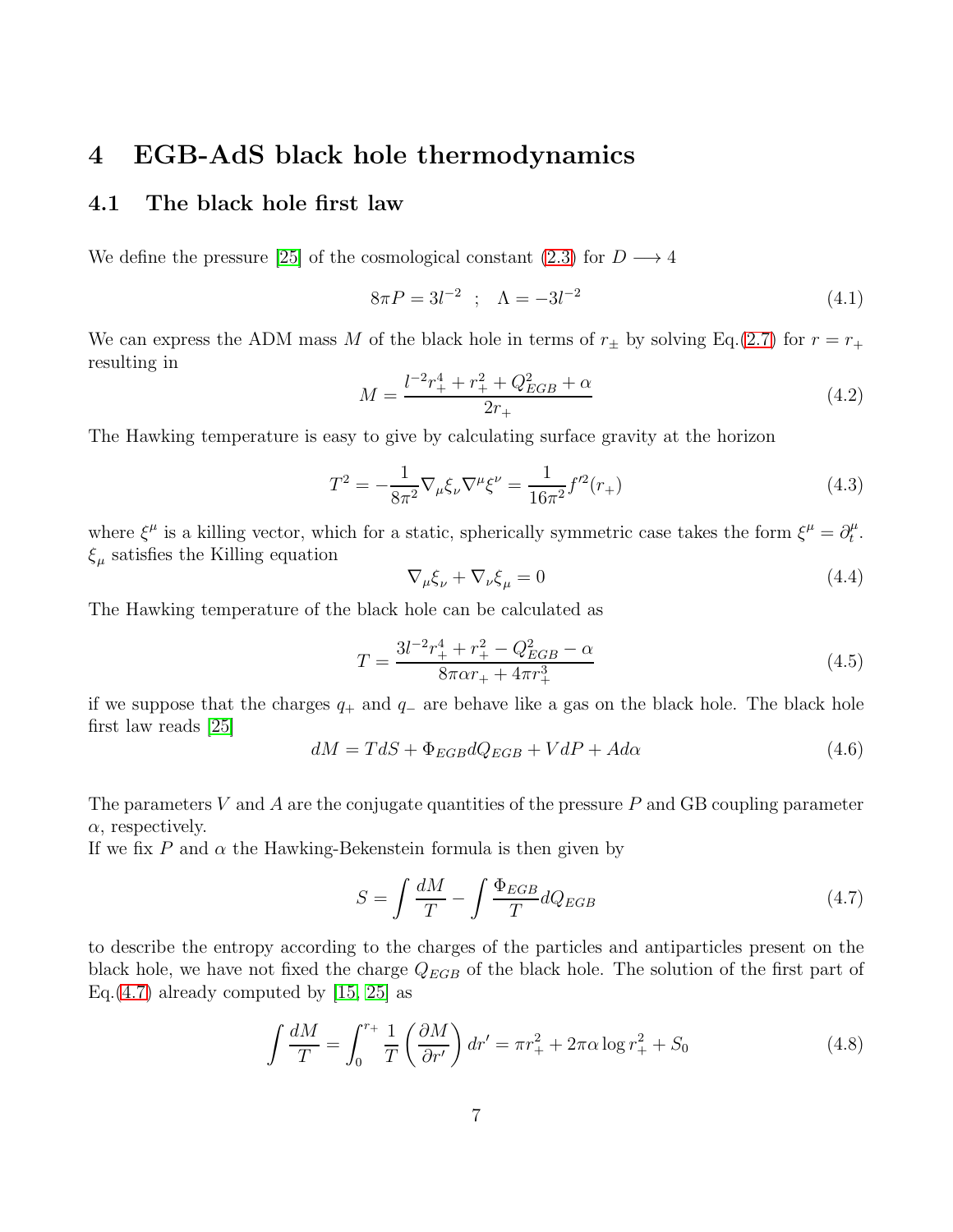## 4 EGB-AdS black hole thermodynamics

#### 4.1 The black hole first law

We define the pressure [\[25\]](#page-12-7) of the cosmological constant [\(2.3\)](#page-1-0) for  $D \longrightarrow 4$ 

<span id="page-6-3"></span>
$$
8\pi P = 3l^{-2} \quad ; \quad \Lambda = -3l^{-2} \tag{4.1}
$$

We can express the ADM mass M of the black hole in terms of  $r_{\pm}$  by solving Eq.[\(2.7\)](#page-2-1) for  $r = r_{+}$ resulting in

$$
M = \frac{l^{-2}r_{+}^{4} + r_{+}^{2} + Q_{EGB}^{2} + \alpha}{2r_{+}}
$$
\n(4.2)

The Hawking temperature is easy to give by calculating surface gravity at the horizon

$$
T^{2} = -\frac{1}{8\pi^{2}}\nabla_{\mu}\xi_{\nu}\nabla^{\mu}\xi^{\nu} = \frac{1}{16\pi^{2}}f^{\prime 2}(r_{+})
$$
\n(4.3)

where  $\xi^{\mu}$  is a killing vector, which for a static, spherically symmetric case takes the form  $\xi^{\mu} = \partial_t^{\mu}$  $_t^\mu.$  $\xi_{\mu}$  satisfies the Killing equation

$$
\nabla_{\mu}\xi_{\nu} + \nabla_{\nu}\xi_{\mu} = 0 \tag{4.4}
$$

The Hawking temperature of the black hole can be calculated as

<span id="page-6-1"></span>
$$
T = \frac{3l^{-2}r_{+}^{4} + r_{+}^{2} - Q_{EGB}^{2} - \alpha}{8\pi\alpha r_{+} + 4\pi r_{+}^{3}}
$$
\n(4.5)

if we suppose that the charges  $q_+$  and  $q_-$  are behave like a gas on the black hole. The black hole first law reads [\[25\]](#page-12-7)

$$
dM = TdS + \Phi_{EGB}dQ_{EGB} + VdP + Ad\alpha \tag{4.6}
$$

The parameters V and A are the conjugate quantities of the pressure  $P$  and GB coupling parameter  $\alpha$ , respectively.

If we fix P and  $\alpha$  the Hawking-Bekenstein formula is then given by

<span id="page-6-0"></span>
$$
S = \int \frac{dM}{T} - \int \frac{\Phi_{EGB}}{T} dQ_{EGB}
$$
\n(4.7)

to describe the entropy according to the charges of the particles and antiparticles present on the black hole, we have not fixed the charge  $Q_{EGB}$  of the black hole. The solution of the first part of Eq.[\(4.7\)](#page-6-0) already computed by  $[15, 25]$  $[15, 25]$  as

<span id="page-6-2"></span>
$$
\int \frac{dM}{T} = \int_0^{r_+} \frac{1}{T} \left( \frac{\partial M}{\partial r'} \right) dr' = \pi r_+^2 + 2\pi \alpha \log r_+^2 + S_0 \tag{4.8}
$$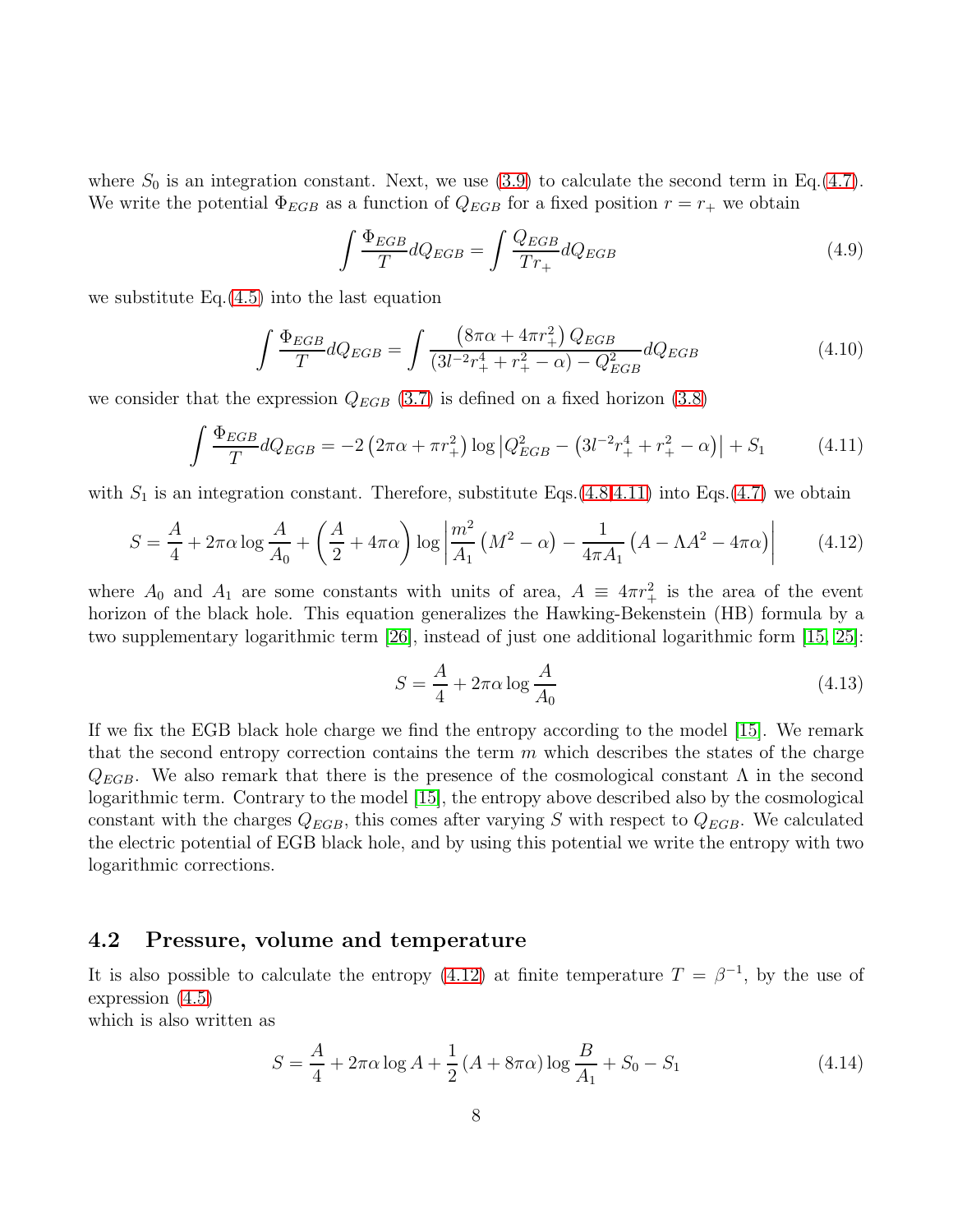where  $S_0$  is an integration constant. Next, we use [\(3.9\)](#page-5-2) to calculate the second term in Eq.[\(4.7\)](#page-6-0). We write the potential  $\Phi_{EGB}$  as a function of  $Q_{EGB}$  for a fixed position  $r = r_+$  we obtain

$$
\int \frac{\Phi_{EGB}}{T} dQ_{EGB} = \int \frac{Q_{EGB}}{Tr_+} dQ_{EGB}
$$
\n(4.9)

we substitute Eq.[\(4.5\)](#page-6-1) into the last equation

$$
\int \frac{\Phi_{EGB}}{T} dQ_{EGB} = \int \frac{\left(8\pi\alpha + 4\pi r_+^2\right) Q_{EGB}}{\left(3l^{-2}r_+^4 + r_+^2 - \alpha\right) - Q_{EGB}^2} dQ_{EGB} \tag{4.10}
$$

we consider that the expression  $Q_{EGB}$  [\(3.7\)](#page-5-0) is defined on a fixed horizon [\(3.8\)](#page-5-1)

<span id="page-7-0"></span>
$$
\int \frac{\Phi_{EGB}}{T} dQ_{EGB} = -2 \left( 2\pi\alpha + \pi r_+^2 \right) \log \left| Q_{EGB}^2 - \left( 3l^{-2}r_+^4 + r_+^2 - \alpha \right) \right| + S_1 \tag{4.11}
$$

with  $S_1$  is an integration constant. Therefore, substitute Eqs.[\(4.8](#page-6-2)[,4.11\)](#page-7-0) into Eqs.[\(4.7\)](#page-6-0) we obtain

<span id="page-7-1"></span>
$$
S = \frac{A}{4} + 2\pi\alpha \log \frac{A}{A_0} + \left(\frac{A}{2} + 4\pi\alpha\right) \log \left|\frac{m^2}{A_1} \left(M^2 - \alpha\right) - \frac{1}{4\pi A_1} \left(A - \Lambda A^2 - 4\pi\alpha\right)\right| \tag{4.12}
$$

where  $A_0$  and  $A_1$  are some constants with units of area,  $A = 4\pi r_+^2$  is the area of the event horizon of the black hole. This equation generalizes the Hawking-Bekenstein (HB) formula by a two supplementary logarithmic term [\[26\]](#page-12-8), instead of just one additional logarithmic form [\[15,](#page-11-12) [25\]](#page-12-7):

<span id="page-7-2"></span>
$$
S = \frac{A}{4} + 2\pi\alpha \log \frac{A}{A_0} \tag{4.13}
$$

If we fix the EGB black hole charge we find the entropy according to the model [\[15\]](#page-11-12). We remark that the second entropy correction contains the term  $m$  which describes the states of the charge  $Q_{EGB}$ . We also remark that there is the presence of the cosmological constant  $\Lambda$  in the second logarithmic term. Contrary to the model [\[15\]](#page-11-12), the entropy above described also by the cosmological constant with the charges  $Q_{EGB}$ , this comes after varying S with respect to  $Q_{EGB}$ . We calculated the electric potential of EGB black hole, and by using this potential we write the entropy with two logarithmic corrections.

#### 4.2 Pressure, volume and temperature

It is also possible to calculate the entropy [\(4.12\)](#page-7-1) at finite temperature  $T = \beta^{-1}$ , by the use of expression [\(4.5\)](#page-6-1)

which is also written as

$$
S = \frac{A}{4} + 2\pi\alpha\log A + \frac{1}{2}(A + 8\pi\alpha)\log\frac{B}{A_1} + S_0 - S_1
$$
 (4.14)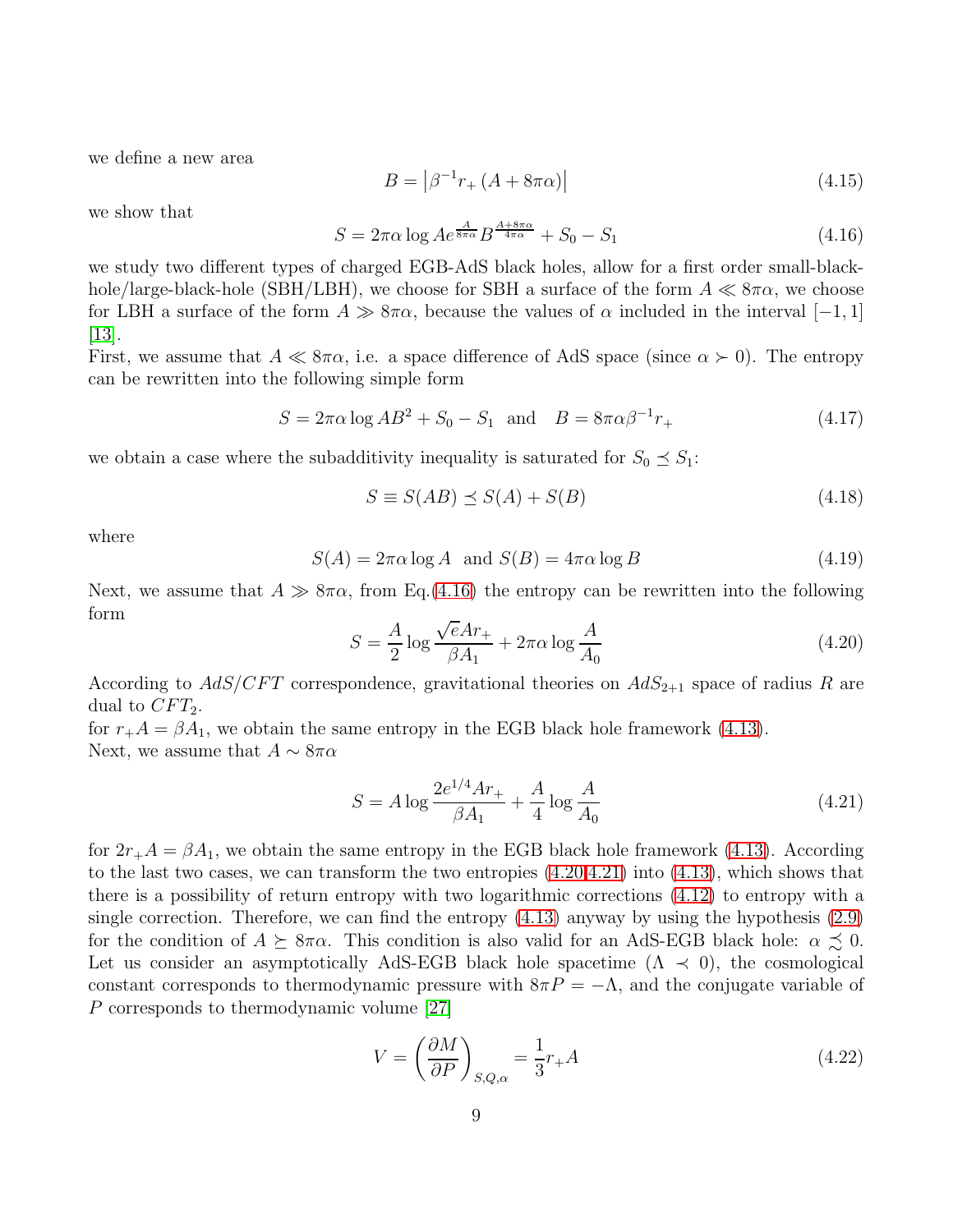we define a new area

$$
B = |\beta^{-1}r_{+}(A + 8\pi\alpha)|
$$
\n(4.15)

we show that

<span id="page-8-0"></span>
$$
S = 2\pi\alpha \log A e^{\frac{A}{8\pi\alpha}} B^{\frac{A+8\pi\alpha}{4\pi\alpha}} + S_0 - S_1 \tag{4.16}
$$

we study two different types of charged EGB-AdS black holes, allow for a first order small-blackhole/large-black-hole (SBH/LBH), we choose for SBH a surface of the form  $A \ll 8\pi\alpha$ , we choose for LBH a surface of the form  $A \gg 8\pi\alpha$ , because the values of  $\alpha$  included in the interval  $[-1, 1]$ [\[13\]](#page-11-10).

First, we assume that  $A \ll 8\pi\alpha$ , i.e. a space difference of AdS space (since  $\alpha \succ 0$ ). The entropy can be rewritten into the following simple form

$$
S = 2\pi\alpha \log AB^2 + S_0 - S_1 \text{ and } B = 8\pi\alpha\beta^{-1}r_+ \tag{4.17}
$$

we obtain a case where the subadditivity inequality is saturated for  $S_0 \preceq S_1$ :

$$
S \equiv S(AB) \preceq S(A) + S(B) \tag{4.18}
$$

where

$$
S(A) = 2\pi\alpha \log A \text{ and } S(B) = 4\pi\alpha \log B \tag{4.19}
$$

Next, we assume that  $A \gg 8\pi\alpha$ , from Eq.[\(4.16\)](#page-8-0) the entropy can be rewritten into the following form

<span id="page-8-1"></span>
$$
S = \frac{A}{2} \log \frac{\sqrt{e}Ar_+}{\beta A_1} + 2\pi \alpha \log \frac{A}{A_0}
$$
\n(4.20)

According to  $AdS/CFT$  correspondence, gravitational theories on  $AdS_{2+1}$  space of radius R are dual to  $CFT_2$ .

for  $r_+A = \beta A_1$ , we obtain the same entropy in the EGB black hole framework [\(4.13\)](#page-7-2). Next, we assume that  $A \sim 8\pi\alpha$ 

<span id="page-8-2"></span>
$$
S = A \log \frac{2e^{1/4}Ar_+}{\beta A_1} + \frac{A}{4} \log \frac{A}{A_0}
$$
 (4.21)

for  $2r_{+}A = \beta A_1$ , we obtain the same entropy in the EGB black hole framework [\(4.13\)](#page-7-2). According to the last two cases, we can transform the two entropies [\(4.20,](#page-8-1)[4.21\)](#page-8-2) into [\(4.13\)](#page-7-2), which shows that there is a possibility of return entropy with two logarithmic corrections [\(4.12\)](#page-7-1) to entropy with a single correction. Therefore, we can find the entropy  $(4.13)$  anyway by using the hypothesis  $(2.9)$ for the condition of  $A \succeq 8\pi\alpha$ . This condition is also valid for an AdS-EGB black hole:  $\alpha \precsim 0$ . Let us consider an asymptotically AdS-EGB black hole spacetime  $(\Lambda \prec 0)$ , the cosmological constant corresponds to thermodynamic pressure with  $8\pi P = -\Lambda$ , and the conjugate variable of P corresponds to thermodynamic volume [\[27\]](#page-12-9)

$$
V = \left(\frac{\partial M}{\partial P}\right)_{S,Q,\alpha} = \frac{1}{3}r_+A\tag{4.22}
$$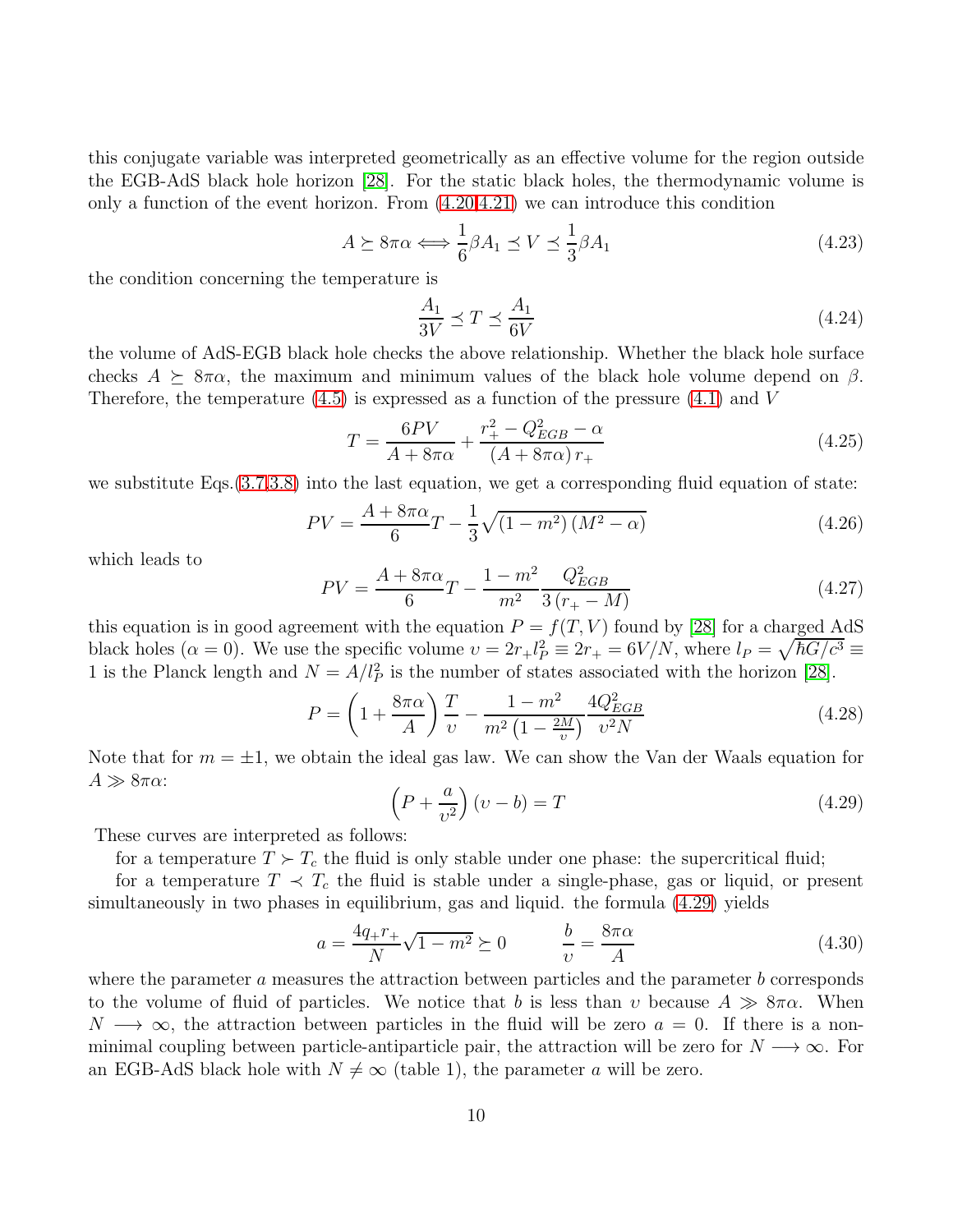this conjugate variable was interpreted geometrically as an effective volume for the region outside the EGB-AdS black hole horizon [\[28\]](#page-12-10). For the static black holes, the thermodynamic volume is only a function of the event horizon. From [\(4.20,](#page-8-1)[4.21\)](#page-8-2) we can introduce this condition

$$
A \succeq 8\pi\alpha \Longleftrightarrow \frac{1}{6}\beta A_1 \preceq V \preceq \frac{1}{3}\beta A_1 \tag{4.23}
$$

the condition concerning the temperature is

$$
\frac{A_1}{3V} \preceq T \preceq \frac{A_1}{6V} \tag{4.24}
$$

the volume of AdS-EGB black hole checks the above relationship. Whether the black hole surface checks  $A \succeq 8\pi\alpha$ , the maximum and minimum values of the black hole volume depend on  $\beta$ . Therefore, the temperature  $(4.5)$  is expressed as a function of the pressure  $(4.1)$  and V

$$
T = \frac{6PV}{A + 8\pi\alpha} + \frac{r_+^2 - Q_{EGB}^2 - \alpha}{(A + 8\pi\alpha)r_+}
$$
(4.25)

we substitute Eqs.[\(3.7](#page-5-0)[,3.8\)](#page-5-1) into the last equation, we get a corresponding fluid equation of state:

$$
PV = \frac{A + 8\pi\alpha}{6}T - \frac{1}{3}\sqrt{(1 - m^2)(M^2 - \alpha)}
$$
(4.26)

which leads to

$$
PV = \frac{A + 8\pi\alpha}{6}T - \frac{1 - m^2}{m^2} \frac{Q_{EGB}^2}{3(r_+ - M)}\tag{4.27}
$$

this equation is in good agreement with the equation  $P = f(T, V)$  found by [\[28\]](#page-12-10) for a charged AdS black holes  $(\alpha = 0)$ . We use the specific volume  $v = 2r_+ l_P^2 \equiv 2r_+ = 6V/N$ , where  $l_P = \sqrt{\hbar G/c^3} \equiv$ 1 is the Planck length and  $N = A/l_P^2$  is the number of states associated with the horizon [\[28\]](#page-12-10).

$$
P = \left(1 + \frac{8\pi\alpha}{A}\right)\frac{T}{\nu} - \frac{1 - m^2}{m^2\left(1 - \frac{2M}{\nu}\right)}\frac{4Q_{EGB}^2}{\nu^2 N}
$$
(4.28)

Note that for  $m = \pm 1$ , we obtain the ideal gas law. We can show the Van der Waals equation for  $A \gg 8\pi\alpha$ :

<span id="page-9-0"></span>
$$
\left(P + \frac{a}{v^2}\right)(v - b) = T\tag{4.29}
$$

These curves are interpreted as follows:

for a temperature  $T \succ T_c$  the fluid is only stable under one phase: the supercritical fluid;

for a temperature  $T \prec T_c$  the fluid is stable under a single-phase, gas or liquid, or present simultaneously in two phases in equilibrium, gas and liquid. the formula [\(4.29\)](#page-9-0) yields

$$
a = \frac{4q_+r_+}{N}\sqrt{1 - m^2} \succeq 0 \qquad \frac{b}{v} = \frac{8\pi\alpha}{A} \tag{4.30}
$$

where the parameter a measures the attraction between particles and the parameter  $b$  corresponds to the volume of fluid of particles. We notice that b is less than v because  $A \gg 8\pi\alpha$ . When  $N \longrightarrow \infty$ , the attraction between particles in the fluid will be zero  $a = 0$ . If there is a nonminimal coupling between particle-antiparticle pair, the attraction will be zero for  $N \longrightarrow \infty$ . For an EGB-AdS black hole with  $N \neq \infty$  (table 1), the parameter a will be zero.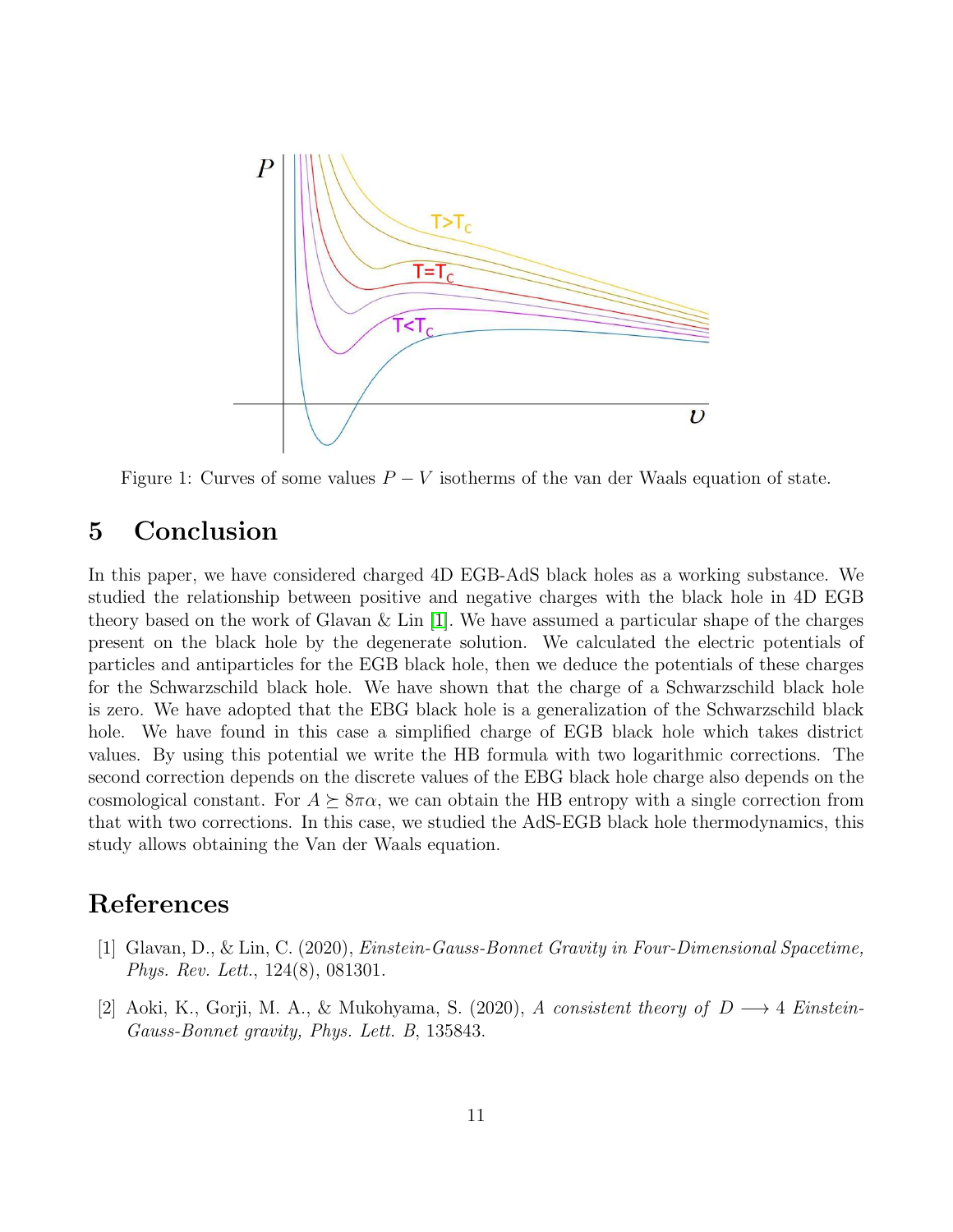

Figure 1: Curves of some values  $P - V$  isotherms of the van der Waals equation of state.

## 5 Conclusion

In this paper, we have considered charged 4D EGB-AdS black holes as a working substance. We studied the relationship between positive and negative charges with the black hole in 4D EGB theory based on the work of Glavan  $\&$  Lin [\[1\]](#page-10-0). We have assumed a particular shape of the charges present on the black hole by the degenerate solution. We calculated the electric potentials of particles and antiparticles for the EGB black hole, then we deduce the potentials of these charges for the Schwarzschild black hole. We have shown that the charge of a Schwarzschild black hole is zero. We have adopted that the EBG black hole is a generalization of the Schwarzschild black hole. We have found in this case a simplified charge of EGB black hole which takes district values. By using this potential we write the HB formula with two logarithmic corrections. The second correction depends on the discrete values of the EBG black hole charge also depends on the cosmological constant. For  $A \succeq 8\pi\alpha$ , we can obtain the HB entropy with a single correction from that with two corrections. In this case, we studied the AdS-EGB black hole thermodynamics, this study allows obtaining the Van der Waals equation.

## <span id="page-10-0"></span>References

- [1] Glavan, D., & Lin, C. (2020), Einstein-Gauss-Bonnet Gravity in Four-Dimensional Spacetime, Phys. Rev. Lett., 124(8), 081301.
- <span id="page-10-1"></span>[2] Aoki, K., Gorji, M. A., & Mukohyama, S. (2020), A consistent theory of  $D \longrightarrow 4$  Einstein-Gauss-Bonnet gravity, Phys. Lett. B, 135843.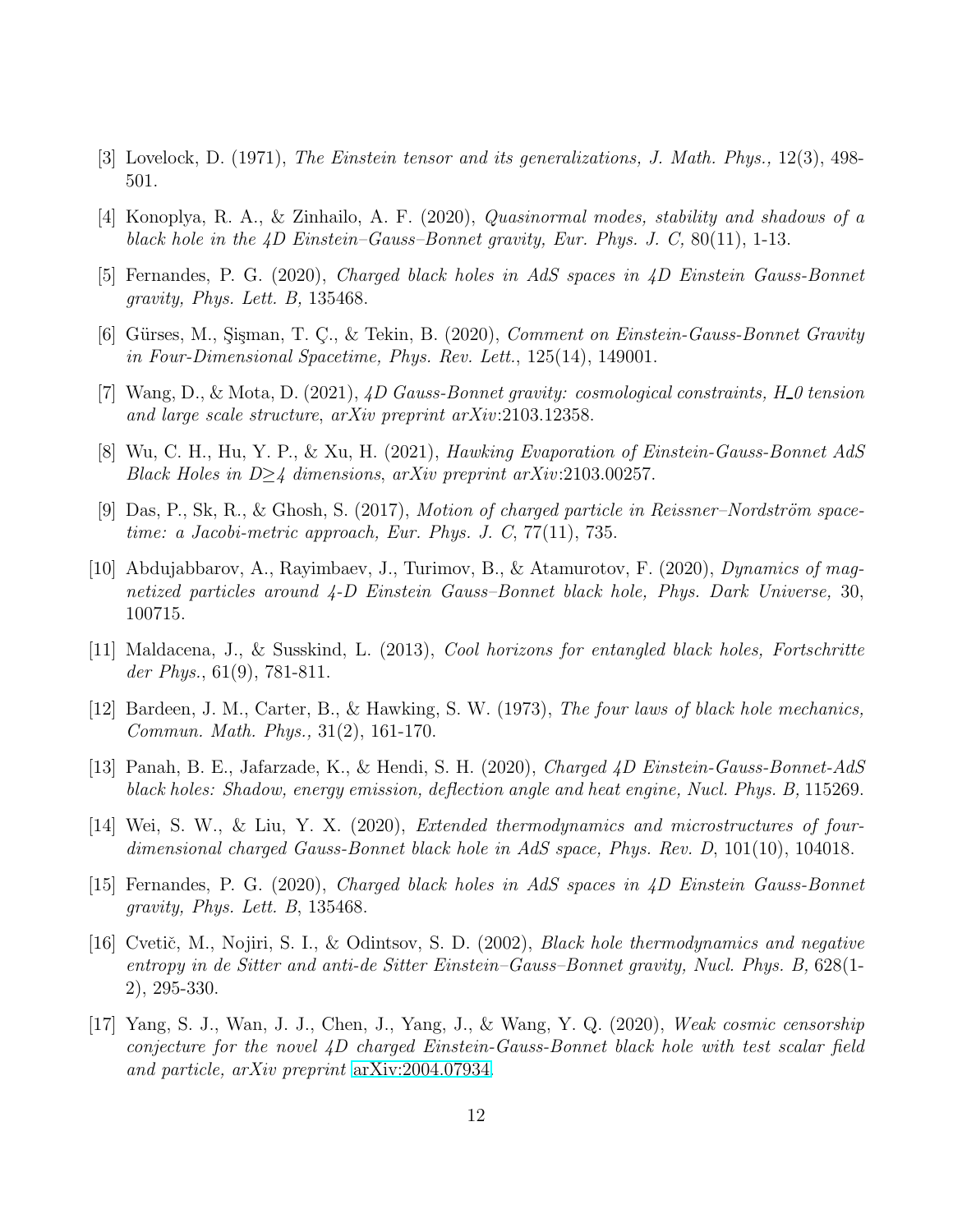- <span id="page-11-1"></span><span id="page-11-0"></span>[3] Lovelock, D. (1971), The Einstein tensor and its generalizations, J. Math. Phys., 12(3), 498- 501.
- <span id="page-11-2"></span>[4] Konoplya, R. A., & Zinhailo, A. F. (2020), Quasinormal modes, stability and shadows of a black hole in the  $\ddot{4}D$  Einstein–Gauss–Bonnet gravity, Eur. Phys. J. C, 80(11), 1-13.
- <span id="page-11-3"></span>[5] Fernandes, P. G. (2020), Charged black holes in AdS spaces in 4D Einstein Gauss-Bonnet gravity, Phys. Lett. B, 135468.
- <span id="page-11-4"></span>[6] Gürses, M., Sisman, T. C., & Tekin, B. (2020), *Comment on Einstein-Gauss-Bonnet Gravity* in Four-Dimensional Spacetime, Phys. Rev. Lett., 125(14), 149001.
- <span id="page-11-5"></span>[7] Wang, D., & Mota, D. (2021),  $\angle 4D$  Gauss-Bonnet gravity: cosmological constraints, H\_0 tension and large scale structure, arXiv preprint arXiv:2103.12358.
- <span id="page-11-6"></span>[8] Wu, C. H., Hu, Y. P., & Xu, H. (2021), Hawking Evaporation of Einstein-Gauss-Bonnet AdS Black Holes in  $D\geq 4$  dimensions, arXiv preprint arXiv:2103.00257.
- <span id="page-11-7"></span>[9] Das, P., Sk, R., & Ghosh, S. (2017), Motion of charged particle in Reissner–Nordström spacetime: a Jacobi-metric approach, Eur. Phys. J. C, 77(11), 735.
- [10] Abdujabbarov, A., Rayimbaev, J., Turimov, B., & Atamurotov, F. (2020), Dynamics of magnetized particles around 4-D Einstein Gauss–Bonnet black hole, Phys. Dark Universe, 30, 100715.
- <span id="page-11-9"></span><span id="page-11-8"></span>[11] Maldacena, J., & Susskind, L. (2013), Cool horizons for entangled black holes, Fortschritte der Phys.,  $61(9)$ , 781-811.
- <span id="page-11-10"></span>[12] Bardeen, J. M., Carter, B., & Hawking, S. W. (1973), The four laws of black hole mechanics, Commun. Math. Phys., 31(2), 161-170.
- <span id="page-11-11"></span>[13] Panah, B. E., Jafarzade, K., & Hendi, S. H. (2020), Charged 4D Einstein-Gauss-Bonnet-AdS black holes: Shadow, energy emission, deflection angle and heat engine, Nucl. Phys. B, 115269.
- [14] Wei, S. W., & Liu, Y. X. (2020), Extended thermodynamics and microstructures of fourdimensional charged Gauss-Bonnet black hole in AdS space, Phys. Rev. D, 101(10), 104018.
- <span id="page-11-13"></span><span id="page-11-12"></span>[15] Fernandes, P. G. (2020), Charged black holes in AdS spaces in 4D Einstein Gauss-Bonnet gravity, Phys. Lett. B, 135468.
- [16] Cvetič, M., Nojiri, S. I., & Odintsov, S. D. (2002), *Black hole thermodynamics and negative* entropy in de Sitter and anti-de Sitter Einstein–Gauss–Bonnet gravity, Nucl. Phys. B, 628(1- 2), 295-330.
- <span id="page-11-14"></span>[17] Yang, S. J., Wan, J. J., Chen, J., Yang, J., & Wang, Y. Q. (2020), Weak cosmic censorship conjecture for the novel 4D charged Einstein-Gauss-Bonnet black hole with test scalar field and particle, arXiv preprint [arXiv:2004.07934.](http://arxiv.org/abs/2004.07934)